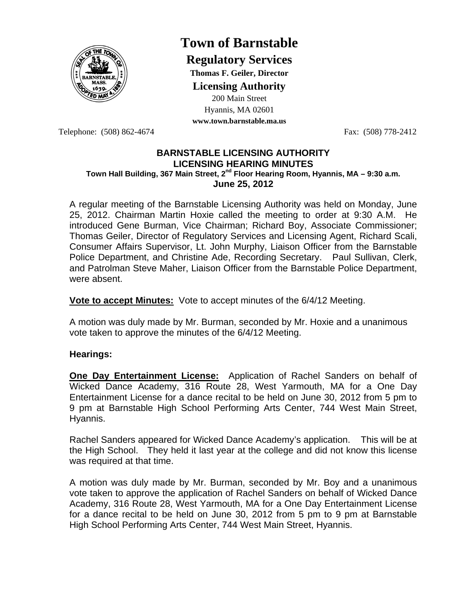

# **Town of Barnstable**

**Regulatory Services**

**Thomas F. Geiler, Director** 

**Licensing Authority**

200 Main Street Hyannis, MA 02601

**www.town.barnstable.ma.us**

Telephone: (508) 862-4674 Fax: (508) 778-2412

## **BARNSTABLE LICENSING AUTHORITY LICENSING HEARING MINUTES Town Hall Building, 367 Main Street, 2nd Floor Hearing Room, Hyannis, MA – 9:30 a.m. June 25, 2012**

A regular meeting of the Barnstable Licensing Authority was held on Monday, June 25, 2012. Chairman Martin Hoxie called the meeting to order at 9:30 A.M. He introduced Gene Burman, Vice Chairman; Richard Boy, Associate Commissioner; Thomas Geiler, Director of Regulatory Services and Licensing Agent, Richard Scali, Consumer Affairs Supervisor, Lt. John Murphy, Liaison Officer from the Barnstable Police Department, and Christine Ade, Recording Secretary. Paul Sullivan, Clerk, and Patrolman Steve Maher, Liaison Officer from the Barnstable Police Department, were absent.

**Vote to accept Minutes:** Vote to accept minutes of the 6/4/12 Meeting.

A motion was duly made by Mr. Burman, seconded by Mr. Hoxie and a unanimous vote taken to approve the minutes of the 6/4/12 Meeting.

## **Hearings:**

**One Day Entertainment License:** Application of Rachel Sanders on behalf of Wicked Dance Academy, 316 Route 28, West Yarmouth, MA for a One Day Entertainment License for a dance recital to be held on June 30, 2012 from 5 pm to 9 pm at Barnstable High School Performing Arts Center, 744 West Main Street, Hyannis.

Rachel Sanders appeared for Wicked Dance Academy's application. This will be at the High School. They held it last year at the college and did not know this license was required at that time.

A motion was duly made by Mr. Burman, seconded by Mr. Boy and a unanimous vote taken to approve the application of Rachel Sanders on behalf of Wicked Dance Academy, 316 Route 28, West Yarmouth, MA for a One Day Entertainment License for a dance recital to be held on June 30, 2012 from 5 pm to 9 pm at Barnstable High School Performing Arts Center, 744 West Main Street, Hyannis.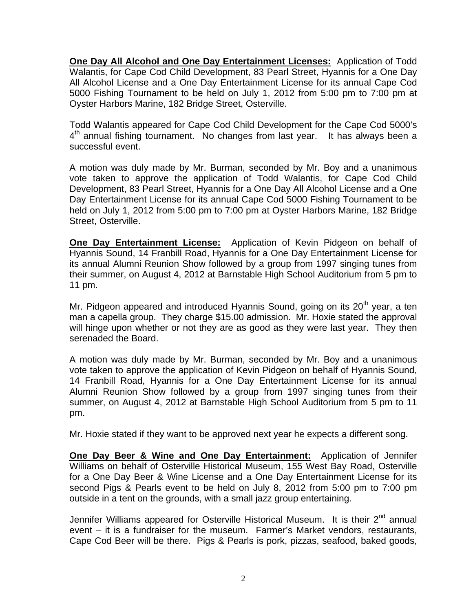**One Day All Alcohol and One Day Entertainment Licenses:** Application of Todd Walantis, for Cape Cod Child Development, 83 Pearl Street, Hyannis for a One Day All Alcohol License and a One Day Entertainment License for its annual Cape Cod 5000 Fishing Tournament to be held on July 1, 2012 from 5:00 pm to 7:00 pm at Oyster Harbors Marine, 182 Bridge Street, Osterville.

Todd Walantis appeared for Cape Cod Child Development for the Cape Cod 5000's  $4<sup>th</sup>$  annual fishing tournament. No changes from last year. It has always been a successful event.

A motion was duly made by Mr. Burman, seconded by Mr. Boy and a unanimous vote taken to approve the application of Todd Walantis, for Cape Cod Child Development, 83 Pearl Street, Hyannis for a One Day All Alcohol License and a One Day Entertainment License for its annual Cape Cod 5000 Fishing Tournament to be held on July 1, 2012 from 5:00 pm to 7:00 pm at Oyster Harbors Marine, 182 Bridge Street, Osterville.

**One Day Entertainment License:** Application of Kevin Pidgeon on behalf of Hyannis Sound, 14 Franbill Road, Hyannis for a One Day Entertainment License for its annual Alumni Reunion Show followed by a group from 1997 singing tunes from their summer, on August 4, 2012 at Barnstable High School Auditorium from 5 pm to 11 pm.

Mr. Pidgeon appeared and introduced Hyannis Sound, going on its  $20<sup>th</sup>$  year, a ten man a capella group. They charge \$15.00 admission. Mr. Hoxie stated the approval will hinge upon whether or not they are as good as they were last year. They then serenaded the Board.

A motion was duly made by Mr. Burman, seconded by Mr. Boy and a unanimous vote taken to approve the application of Kevin Pidgeon on behalf of Hyannis Sound, 14 Franbill Road, Hyannis for a One Day Entertainment License for its annual Alumni Reunion Show followed by a group from 1997 singing tunes from their summer, on August 4, 2012 at Barnstable High School Auditorium from 5 pm to 11 pm.

Mr. Hoxie stated if they want to be approved next year he expects a different song.

**One Day Beer & Wine and One Day Entertainment:** Application of Jennifer Williams on behalf of Osterville Historical Museum, 155 West Bay Road, Osterville for a One Day Beer & Wine License and a One Day Entertainment License for its second Pigs & Pearls event to be held on July 8, 2012 from 5:00 pm to 7:00 pm outside in a tent on the grounds, with a small jazz group entertaining.

Jennifer Williams appeared for Osterville Historical Museum. It is their 2<sup>nd</sup> annual event – it is a fundraiser for the museum. Farmer's Market vendors, restaurants, Cape Cod Beer will be there. Pigs & Pearls is pork, pizzas, seafood, baked goods,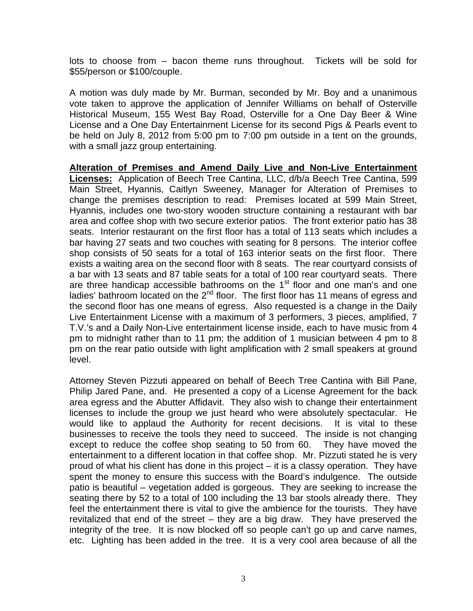lots to choose from – bacon theme runs throughout. Tickets will be sold for \$55/person or \$100/couple.

A motion was duly made by Mr. Burman, seconded by Mr. Boy and a unanimous vote taken to approve the application of Jennifer Williams on behalf of Osterville Historical Museum, 155 West Bay Road, Osterville for a One Day Beer & Wine License and a One Day Entertainment License for its second Pigs & Pearls event to be held on July 8, 2012 from 5:00 pm to 7:00 pm outside in a tent on the grounds, with a small jazz group entertaining.

**Alteration of Premises and Amend Daily Live and Non-Live Entertainment Licenses:** Application of Beech Tree Cantina, LLC, d/b/a Beech Tree Cantina, 599 Main Street, Hyannis, Caitlyn Sweeney, Manager for Alteration of Premises to change the premises description to read: Premises located at 599 Main Street, Hyannis, includes one two-story wooden structure containing a restaurant with bar area and coffee shop with two secure exterior patios. The front exterior patio has 38 seats. Interior restaurant on the first floor has a total of 113 seats which includes a bar having 27 seats and two couches with seating for 8 persons. The interior coffee shop consists of 50 seats for a total of 163 interior seats on the first floor. There exists a waiting area on the second floor with 8 seats. The rear courtyard consists of a bar with 13 seats and 87 table seats for a total of 100 rear courtyard seats. There are three handicap accessible bathrooms on the 1<sup>st</sup> floor and one man's and one ladies' bathroom located on the  $2<sup>nd</sup>$  floor. The first floor has 11 means of egress and the second floor has one means of egress. Also requested is a change in the Daily Live Entertainment License with a maximum of 3 performers, 3 pieces, amplified, 7 T.V.'s and a Daily Non-Live entertainment license inside, each to have music from 4 pm to midnight rather than to 11 pm; the addition of 1 musician between 4 pm to 8 pm on the rear patio outside with light amplification with 2 small speakers at ground level.

Attorney Steven Pizzuti appeared on behalf of Beech Tree Cantina with Bill Pane, Philip Jared Pane, and. He presented a copy of a License Agreement for the back area egress and the Abutter Affidavit. They also wish to change their entertainment licenses to include the group we just heard who were absolutely spectacular. He would like to applaud the Authority for recent decisions. It is vital to these businesses to receive the tools they need to succeed. The inside is not changing except to reduce the coffee shop seating to 50 from 60. They have moved the entertainment to a different location in that coffee shop. Mr. Pizzuti stated he is very proud of what his client has done in this project – it is a classy operation. They have spent the money to ensure this success with the Board's indulgence. The outside patio is beautiful – vegetation added is gorgeous. They are seeking to increase the seating there by 52 to a total of 100 including the 13 bar stools already there. They feel the entertainment there is vital to give the ambience for the tourists. They have revitalized that end of the street – they are a big draw. They have preserved the integrity of the tree. It is now blocked off so people can't go up and carve names, etc. Lighting has been added in the tree. It is a very cool area because of all the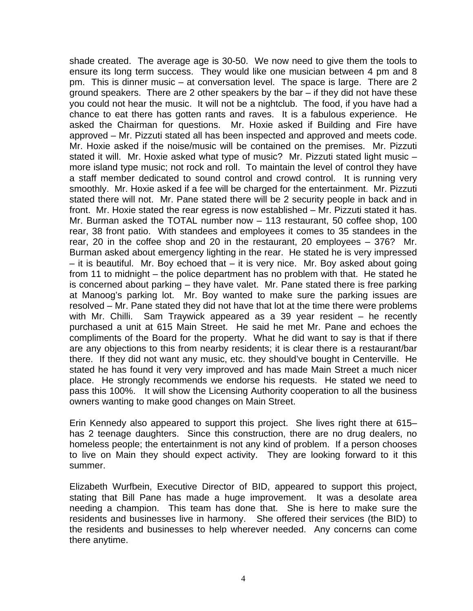shade created. The average age is 30-50. We now need to give them the tools to ensure its long term success. They would like one musician between 4 pm and 8 pm. This is dinner music – at conversation level. The space is large. There are 2 ground speakers. There are 2 other speakers by the bar – if they did not have these you could not hear the music. It will not be a nightclub. The food, if you have had a chance to eat there has gotten rants and raves. It is a fabulous experience. He asked the Chairman for questions. Mr. Hoxie asked if Building and Fire have approved – Mr. Pizzuti stated all has been inspected and approved and meets code. Mr. Hoxie asked if the noise/music will be contained on the premises. Mr. Pizzuti stated it will. Mr. Hoxie asked what type of music? Mr. Pizzuti stated light music – more island type music; not rock and roll. To maintain the level of control they have a staff member dedicated to sound control and crowd control. It is running very smoothly. Mr. Hoxie asked if a fee will be charged for the entertainment. Mr. Pizzuti stated there will not. Mr. Pane stated there will be 2 security people in back and in front. Mr. Hoxie stated the rear egress is now established – Mr. Pizzuti stated it has. Mr. Burman asked the TOTAL number now – 113 restaurant, 50 coffee shop, 100 rear, 38 front patio. With standees and employees it comes to 35 standees in the rear, 20 in the coffee shop and 20 in the restaurant, 20 employees – 376? Mr. Burman asked about emergency lighting in the rear. He stated he is very impressed – it is beautiful. Mr. Boy echoed that – it is very nice. Mr. Boy asked about going from 11 to midnight – the police department has no problem with that. He stated he is concerned about parking – they have valet. Mr. Pane stated there is free parking at Manoog's parking lot. Mr. Boy wanted to make sure the parking issues are resolved – Mr. Pane stated they did not have that lot at the time there were problems with Mr. Chilli. Sam Traywick appeared as a 39 year resident – he recently purchased a unit at 615 Main Street. He said he met Mr. Pane and echoes the compliments of the Board for the property. What he did want to say is that if there are any objections to this from nearby residents; it is clear there is a restaurant/bar there. If they did not want any music, etc. they should've bought in Centerville. He stated he has found it very very improved and has made Main Street a much nicer place. He strongly recommends we endorse his requests. He stated we need to pass this 100%. It will show the Licensing Authority cooperation to all the business owners wanting to make good changes on Main Street.

Erin Kennedy also appeared to support this project. She lives right there at 615– has 2 teenage daughters. Since this construction, there are no drug dealers, no homeless people; the entertainment is not any kind of problem. If a person chooses to live on Main they should expect activity. They are looking forward to it this summer.

Elizabeth Wurfbein, Executive Director of BID, appeared to support this project, stating that Bill Pane has made a huge improvement. It was a desolate area needing a champion. This team has done that. She is here to make sure the residents and businesses live in harmony. She offered their services (the BID) to the residents and businesses to help wherever needed. Any concerns can come there anytime.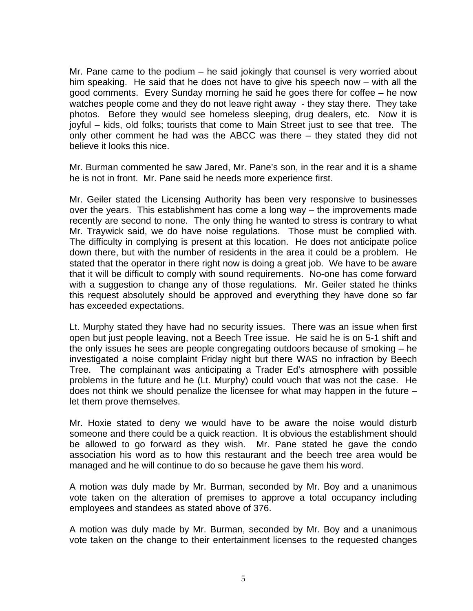Mr. Pane came to the podium – he said jokingly that counsel is very worried about him speaking. He said that he does not have to give his speech now – with all the good comments. Every Sunday morning he said he goes there for coffee – he now watches people come and they do not leave right away - they stay there. They take photos. Before they would see homeless sleeping, drug dealers, etc. Now it is joyful – kids, old folks; tourists that come to Main Street just to see that tree. The only other comment he had was the ABCC was there – they stated they did not believe it looks this nice.

Mr. Burman commented he saw Jared, Mr. Pane's son, in the rear and it is a shame he is not in front. Mr. Pane said he needs more experience first.

Mr. Geiler stated the Licensing Authority has been very responsive to businesses over the years. This establishment has come a long way – the improvements made recently are second to none. The only thing he wanted to stress is contrary to what Mr. Traywick said, we do have noise regulations. Those must be complied with. The difficulty in complying is present at this location. He does not anticipate police down there, but with the number of residents in the area it could be a problem. He stated that the operator in there right now is doing a great job. We have to be aware that it will be difficult to comply with sound requirements. No-one has come forward with a suggestion to change any of those regulations. Mr. Geiler stated he thinks this request absolutely should be approved and everything they have done so far has exceeded expectations.

Lt. Murphy stated they have had no security issues. There was an issue when first open but just people leaving, not a Beech Tree issue. He said he is on 5-1 shift and the only issues he sees are people congregating outdoors because of smoking – he investigated a noise complaint Friday night but there WAS no infraction by Beech Tree. The complainant was anticipating a Trader Ed's atmosphere with possible problems in the future and he (Lt. Murphy) could vouch that was not the case. He does not think we should penalize the licensee for what may happen in the future – let them prove themselves.

Mr. Hoxie stated to deny we would have to be aware the noise would disturb someone and there could be a quick reaction. It is obvious the establishment should be allowed to go forward as they wish. Mr. Pane stated he gave the condo association his word as to how this restaurant and the beech tree area would be managed and he will continue to do so because he gave them his word.

A motion was duly made by Mr. Burman, seconded by Mr. Boy and a unanimous vote taken on the alteration of premises to approve a total occupancy including employees and standees as stated above of 376.

A motion was duly made by Mr. Burman, seconded by Mr. Boy and a unanimous vote taken on the change to their entertainment licenses to the requested changes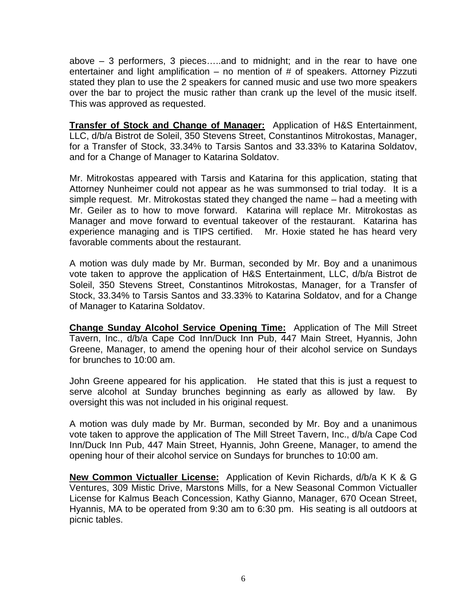above – 3 performers, 3 pieces…..and to midnight; and in the rear to have one entertainer and light amplification  $-$  no mention of  $#$  of speakers. Attorney Pizzuti stated they plan to use the 2 speakers for canned music and use two more speakers over the bar to project the music rather than crank up the level of the music itself. This was approved as requested.

**Transfer of Stock and Change of Manager:** Application of H&S Entertainment, LLC, d/b/a Bistrot de Soleil, 350 Stevens Street, Constantinos Mitrokostas, Manager, for a Transfer of Stock, 33.34% to Tarsis Santos and 33.33% to Katarina Soldatov, and for a Change of Manager to Katarina Soldatov.

Mr. Mitrokostas appeared with Tarsis and Katarina for this application, stating that Attorney Nunheimer could not appear as he was summonsed to trial today. It is a simple request. Mr. Mitrokostas stated they changed the name – had a meeting with Mr. Geiler as to how to move forward. Katarina will replace Mr. Mitrokostas as Manager and move forward to eventual takeover of the restaurant. Katarina has experience managing and is TIPS certified. Mr. Hoxie stated he has heard very favorable comments about the restaurant.

A motion was duly made by Mr. Burman, seconded by Mr. Boy and a unanimous vote taken to approve the application of H&S Entertainment, LLC, d/b/a Bistrot de Soleil, 350 Stevens Street, Constantinos Mitrokostas, Manager, for a Transfer of Stock, 33.34% to Tarsis Santos and 33.33% to Katarina Soldatov, and for a Change of Manager to Katarina Soldatov.

**Change Sunday Alcohol Service Opening Time:** Application of The Mill Street Tavern, Inc., d/b/a Cape Cod Inn/Duck Inn Pub, 447 Main Street, Hyannis, John Greene, Manager, to amend the opening hour of their alcohol service on Sundays for brunches to 10:00 am.

John Greene appeared for his application. He stated that this is just a request to serve alcohol at Sunday brunches beginning as early as allowed by law. By oversight this was not included in his original request.

A motion was duly made by Mr. Burman, seconded by Mr. Boy and a unanimous vote taken to approve the application of The Mill Street Tavern, Inc., d/b/a Cape Cod Inn/Duck Inn Pub, 447 Main Street, Hyannis, John Greene, Manager, to amend the opening hour of their alcohol service on Sundays for brunches to 10:00 am.

**New Common Victualler License:** Application of Kevin Richards, d/b/a K K & G Ventures, 309 Mistic Drive, Marstons Mills, for a New Seasonal Common Victualler License for Kalmus Beach Concession, Kathy Gianno, Manager, 670 Ocean Street, Hyannis, MA to be operated from 9:30 am to 6:30 pm. His seating is all outdoors at picnic tables.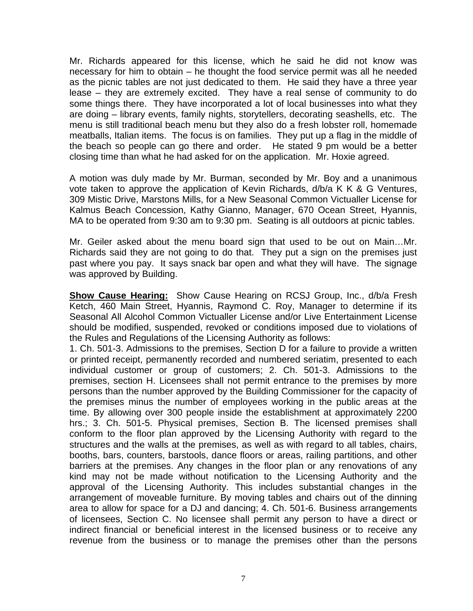Mr. Richards appeared for this license, which he said he did not know was necessary for him to obtain – he thought the food service permit was all he needed as the picnic tables are not just dedicated to them. He said they have a three year lease – they are extremely excited. They have a real sense of community to do some things there. They have incorporated a lot of local businesses into what they are doing – library events, family nights, storytellers, decorating seashells, etc. The menu is still traditional beach menu but they also do a fresh lobster roll, homemade meatballs, Italian items. The focus is on families. They put up a flag in the middle of the beach so people can go there and order. He stated 9 pm would be a better closing time than what he had asked for on the application. Mr. Hoxie agreed.

A motion was duly made by Mr. Burman, seconded by Mr. Boy and a unanimous vote taken to approve the application of Kevin Richards, d/b/a K K & G Ventures, 309 Mistic Drive, Marstons Mills, for a New Seasonal Common Victualler License for Kalmus Beach Concession, Kathy Gianno, Manager, 670 Ocean Street, Hyannis, MA to be operated from 9:30 am to 9:30 pm. Seating is all outdoors at picnic tables.

Mr. Geiler asked about the menu board sign that used to be out on Main…Mr. Richards said they are not going to do that. They put a sign on the premises just past where you pay. It says snack bar open and what they will have. The signage was approved by Building.

**Show Cause Hearing:** Show Cause Hearing on RCSJ Group, Inc., d/b/a Fresh Ketch, 460 Main Street, Hyannis, Raymond C. Roy, Manager to determine if its Seasonal All Alcohol Common Victualler License and/or Live Entertainment License should be modified, suspended, revoked or conditions imposed due to violations of the Rules and Regulations of the Licensing Authority as follows:

1. Ch. 501-3. Admissions to the premises, Section D for a failure to provide a written or printed receipt, permanently recorded and numbered seriatim, presented to each individual customer or group of customers; 2. Ch. 501-3. Admissions to the premises, section H. Licensees shall not permit entrance to the premises by more persons than the number approved by the Building Commissioner for the capacity of the premises minus the number of employees working in the public areas at the time. By allowing over 300 people inside the establishment at approximately 2200 hrs.; 3. Ch. 501-5. Physical premises, Section B. The licensed premises shall conform to the floor plan approved by the Licensing Authority with regard to the structures and the walls at the premises, as well as with regard to all tables, chairs, booths, bars, counters, barstools, dance floors or areas, railing partitions, and other barriers at the premises. Any changes in the floor plan or any renovations of any kind may not be made without notification to the Licensing Authority and the approval of the Licensing Authority. This includes substantial changes in the arrangement of moveable furniture. By moving tables and chairs out of the dinning area to allow for space for a DJ and dancing; 4. Ch. 501-6. Business arrangements of licensees, Section C. No licensee shall permit any person to have a direct or indirect financial or beneficial interest in the licensed business or to receive any revenue from the business or to manage the premises other than the persons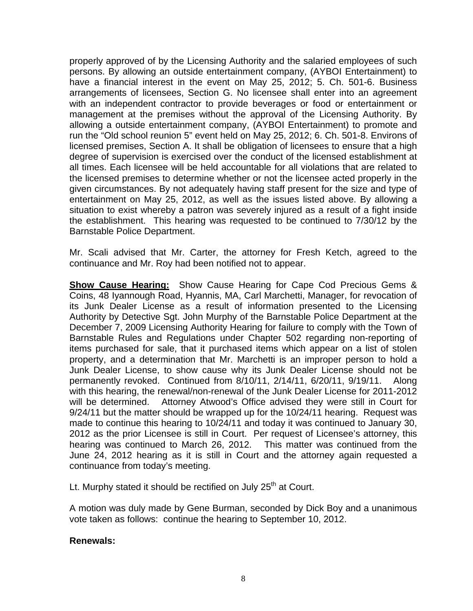properly approved of by the Licensing Authority and the salaried employees of such persons. By allowing an outside entertainment company, (AYBOI Entertainment) to have a financial interest in the event on May 25, 2012; 5. Ch. 501-6. Business arrangements of licensees, Section G. No licensee shall enter into an agreement with an independent contractor to provide beverages or food or entertainment or management at the premises without the approval of the Licensing Authority. By allowing a outside entertainment company, (AYBOI Entertainment) to promote and run the "Old school reunion 5" event held on May 25, 2012; 6. Ch. 501-8. Environs of licensed premises, Section A. It shall be obligation of licensees to ensure that a high degree of supervision is exercised over the conduct of the licensed establishment at all times. Each licensee will be held accountable for all violations that are related to the licensed premises to determine whether or not the licensee acted properly in the given circumstances. By not adequately having staff present for the size and type of entertainment on May 25, 2012, as well as the issues listed above. By allowing a situation to exist whereby a patron was severely injured as a result of a fight inside the establishment. This hearing was requested to be continued to 7/30/12 by the Barnstable Police Department.

Mr. Scali advised that Mr. Carter, the attorney for Fresh Ketch, agreed to the continuance and Mr. Roy had been notified not to appear.

**Show Cause Hearing:** Show Cause Hearing for Cape Cod Precious Gems & Coins, 48 Iyannough Road, Hyannis, MA, Carl Marchetti, Manager, for revocation of its Junk Dealer License as a result of information presented to the Licensing Authority by Detective Sgt. John Murphy of the Barnstable Police Department at the December 7, 2009 Licensing Authority Hearing for failure to comply with the Town of Barnstable Rules and Regulations under Chapter 502 regarding non-reporting of items purchased for sale, that it purchased items which appear on a list of stolen property, and a determination that Mr. Marchetti is an improper person to hold a Junk Dealer License, to show cause why its Junk Dealer License should not be permanently revoked. Continued from 8/10/11, 2/14/11, 6/20/11, 9/19/11. Along with this hearing, the renewal/non-renewal of the Junk Dealer License for 2011-2012 will be determined. Attorney Atwood's Office advised they were still in Court for 9/24/11 but the matter should be wrapped up for the 10/24/11 hearing. Request was made to continue this hearing to 10/24/11 and today it was continued to January 30, 2012 as the prior Licensee is still in Court. Per request of Licensee's attorney, this hearing was continued to March 26, 2012. This matter was continued from the June 24, 2012 hearing as it is still in Court and the attorney again requested a continuance from today's meeting.

Lt. Murphy stated it should be rectified on July  $25<sup>th</sup>$  at Court.

A motion was duly made by Gene Burman, seconded by Dick Boy and a unanimous vote taken as follows: continue the hearing to September 10, 2012.

## **Renewals:**